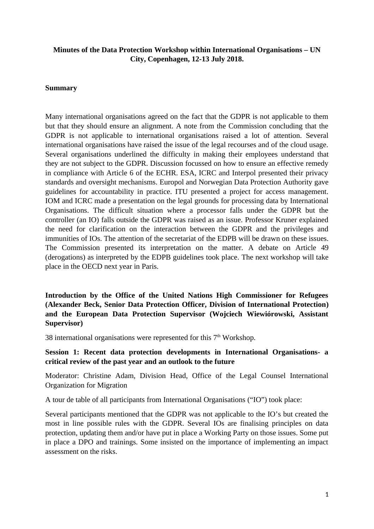#### **Minutes of the Data Protection Workshop within International Organisations – UN City, Copenhagen, 12-13 July 2018.**

#### **Summary**

Many international organisations agreed on the fact that the GDPR is not applicable to them but that they should ensure an alignment. A note from the Commission concluding that the GDPR is not applicable to international organisations raised a lot of attention. Several international organisations have raised the issue of the legal recourses and of the cloud usage. Several organisations underlined the difficulty in making their employees understand that they are not subject to the GDPR. Discussion focussed on how to ensure an effective remedy in compliance with Article 6 of the ECHR. ESA, ICRC and Interpol presented their privacy standards and oversight mechanisms. Europol and Norwegian Data Protection Authority gave guidelines for accountability in practice. ITU presented a project for access management. IOM and ICRC made a presentation on the legal grounds for processing data by International Organisations. The difficult situation where a processor falls under the GDPR but the controller (an IO) falls outside the GDPR was raised as an issue. Professor Kruner explained the need for clarification on the interaction between the GDPR and the privileges and immunities of IOs. The attention of the secretariat of the EDPB will be drawn on these issues. The Commission presented its interpretation on the matter. A debate on Article 49 (derogations) as interpreted by the EDPB guidelines took place. The next workshop will take place in the OECD next year in Paris.

**Introduction by the Office of the United Nations High Commissioner for Refugees (Alexander Beck, Senior Data Protection Officer, Division of International Protection) and the European Data Protection Supervisor (Wojciech Wiewiórowski, Assistant Supervisor)**

38 international organisations were represented for this  $7<sup>th</sup>$  Workshop.

#### **Session 1: Recent data protection developments in International Organisations- a critical review of the past year and an outlook to the future**

Moderator: Christine Adam, Division Head, Office of the Legal Counsel International Organization for Migration

A tour de table of all participants from International Organisations ("IO") took place:

Several participants mentioned that the GDPR was not applicable to the IO's but created the most in line possible rules with the GDPR. Several IOs are finalising principles on data protection, updating them and/or have put in place a Working Party on those issues. Some put in place a DPO and trainings. Some insisted on the importance of implementing an impact assessment on the risks.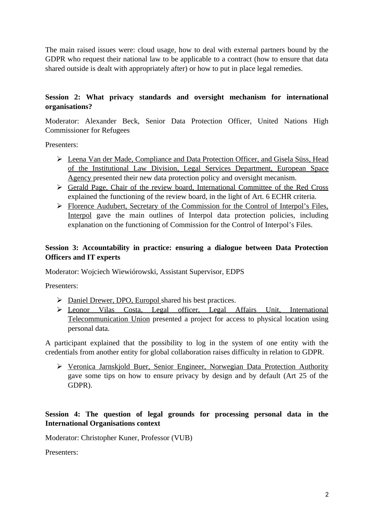The main raised issues were: cloud usage, how to deal with external partners bound by the GDPR who request their national law to be applicable to a contract (how to ensure that data shared outside is dealt with appropriately after) or how to put in place legal remedies.

# **Session 2: What privacy standards and oversight mechanism for international organisations?**

Moderator: Alexander Beck, Senior Data Protection Officer, United Nations High Commissioner for Refugees

Presenters:

- Leena Van der Made, Compliance and Data Protection Officer, and Gisela Süss, Head of the Institutional Law Division, Legal Services Department, European Space Agency presented their new data protection policy and oversight mecanism.
- Gerald Page, Chair of the review board, International Committee of the Red Cross explained the functioning of the review board, in the light of Art. 6 ECHR criteria.
- Florence Audubert, Secretary of the Commission for the Control of Interpol's Files, Interpol gave the main outlines of Interpol data protection policies, including explanation on the functioning of Commission for the Control of Interpol's Files.

# **Session 3: Accountability in practice: ensuring a dialogue between Data Protection Officers and IT experts**

Moderator: Wojciech Wiewiórowski, Assistant Supervisor, EDPS

Presenters:

- > Daniel Drewer, DPO, Europol shared his best practices.
- Leonor Vilas Costa, Legal officer, Legal Affairs Unit, International Telecommunication Union presented a project for access to physical location using personal data.

A participant explained that the possibility to log in the system of one entity with the credentials from another entity for global collaboration raises difficulty in relation to GDPR.

 Veronica Jarnskjold Buer, Senior Engineer, Norwegian Data Protection Authority gave some tips on how to ensure privacy by design and by default (Art 25 of the GDPR).

### **Session 4: The question of legal grounds for processing personal data in the International Organisations context**

Moderator: Christopher Kuner, Professor (VUB)

Presenters: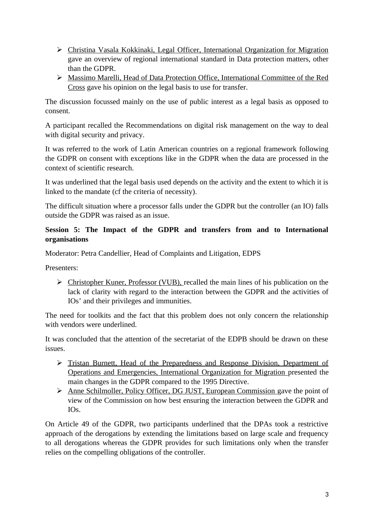- Christina Vasala Kokkinaki, Legal Officer, International Organization for Migration gave an overview of regional international standard in Data protection matters, other than the GDPR.
- Massimo Marelli, Head of Data Protection Office, International Committee of the Red Cross gave his opinion on the legal basis to use for transfer.

The discussion focussed mainly on the use of public interest as a legal basis as opposed to consent.

A participant recalled the Recommendations on digital risk management on the way to deal with digital security and privacy.

It was referred to the work of Latin American countries on a regional framework following the GDPR on consent with exceptions like in the GDPR when the data are processed in the context of scientific research.

It was underlined that the legal basis used depends on the activity and the extent to which it is linked to the mandate (cf the criteria of necessity).

The difficult situation where a processor falls under the GDPR but the controller (an IO) falls outside the GDPR was raised as an issue.

# **Session 5: The Impact of the GDPR and transfers from and to International organisations**

Moderator: Petra Candellier, Head of Complaints and Litigation, EDPS

Presenters:

 Christopher Kuner, Professor (VUB), recalled the main lines of his publication on the lack of clarity with regard to the interaction between the GDPR and the activities of IOs' and their privileges and immunities.

The need for toolkits and the fact that this problem does not only concern the relationship with vendors were underlined.

It was concluded that the attention of the secretariat of the EDPB should be drawn on these issues.

- Tristan Burnett, Head of the Preparedness and Response Division, Department of Operations and Emergencies, International Organization for Migration presented the main changes in the GDPR compared to the 1995 Directive.
- Anne Schilmoller, Policy Officer, DG JUST, European Commission gave the point of view of the Commission on how best ensuring the interaction between the GDPR and IOs.

On Article 49 of the GDPR, two participants underlined that the DPAs took a restrictive approach of the derogations by extending the limitations based on large scale and frequency to all derogations whereas the GDPR provides for such limitations only when the transfer relies on the compelling obligations of the controller.